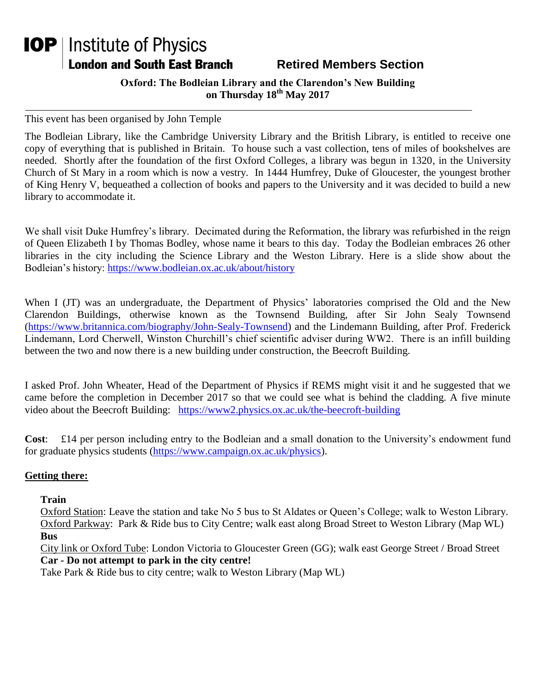## **IOP** | Institute of Physics London and South East Branch

## **Retired Members Section**

**Oxford: The Bodleian Library and the Clarendon's New Building on Thursday 18th May 2017**

This event has been organised by John Temple

The Bodleian Library, like the Cambridge University Library and the British Library, is entitled to receive one copy of everything that is published in Britain. To house such a vast collection, tens of miles of bookshelves are needed. Shortly after the foundation of the first Oxford Colleges, a library was begun in 1320, in the University Church of St Mary in a room which is now a vestry. In 1444 Humfrey, Duke of Gloucester, the youngest brother of King Henry V, bequeathed a collection of books and papers to the University and it was decided to build a new library to accommodate it.

We shall visit Duke Humfrey's library. Decimated during the Reformation, the library was refurbished in the reign of Queen Elizabeth I by Thomas Bodley, whose name it bears to this day. Today the Bodleian embraces 26 other libraries in the city including the Science Library and the Weston Library. Here is a slide show about the Bodleian's history:<https://www.bodleian.ox.ac.uk/about/history>

When I (JT) was an undergraduate, the Department of Physics' laboratories comprised the Old and the New Clarendon Buildings, otherwise known as the Townsend Building, after Sir John Sealy Townsend [\(https://www.britannica.com/biography/John-Sealy-Townsend\)](https://www.britannica.com/biography/John-Sealy-Townsend) and the Lindemann Building, after Prof. Frederick Lindemann, Lord Cherwell, Winston Churchill's chief scientific adviser during WW2. There is an infill building between the two and now there is a new building under construction, the Beecroft Building.

I asked Prof. John Wheater, Head of the Department of Physics if REMS might visit it and he suggested that we came before the completion in December 2017 so that we could see what is behind the cladding. A five minute video about the Beecroft Building: <https://www2.physics.ox.ac.uk/the-beecroft-building>

**Cost**: £14 per person including entry to the Bodleian and a small donation to the University's endowment fund for graduate physics students [\(https://www.campaign.ox.ac.uk/physics\)](https://www.campaign.ox.ac.uk/physics).

## **Getting there:**

**Train**

Oxford Station: Leave the station and take No 5 bus to St Aldates or Queen's College; walk to Weston Library. Oxford Parkway: Park & Ride bus to City Centre; walk east along Broad Street to Weston Library (Map WL) **Bus**

City link or Oxford Tube: London Victoria to Gloucester Green (GG); walk east George Street / Broad Street **Car - Do not attempt to park in the city centre!** 

Take Park & Ride bus to city centre; walk to Weston Library (Map WL)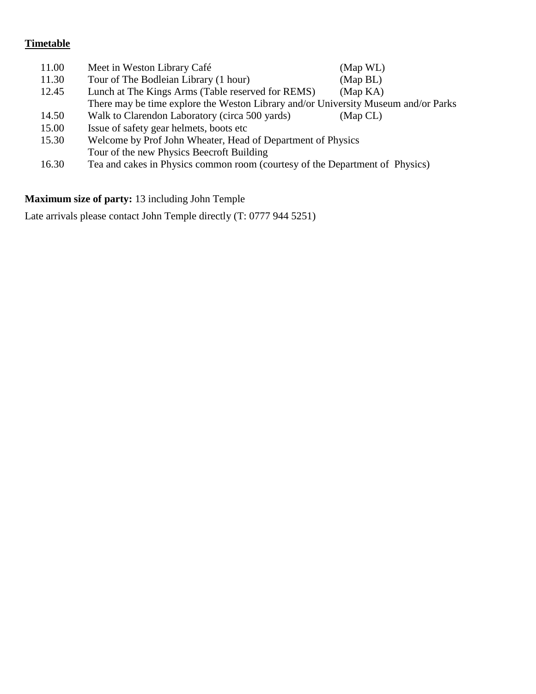## **Timetable**

| 11.00 | Meet in Weston Library Café                                                        | (Map WL) |
|-------|------------------------------------------------------------------------------------|----------|
| 11.30 | Tour of The Bodleian Library (1 hour)                                              | (Map BL) |
| 12.45 | Lunch at The Kings Arms (Table reserved for REMS)                                  | (Map KA) |
|       | There may be time explore the Weston Library and/or University Museum and/or Parks |          |
| 14.50 | Walk to Clarendon Laboratory (circa 500 yards)                                     | (Map CL) |
| 15.00 | Issue of safety gear helmets, boots etc.                                           |          |
| 15.30 | Welcome by Prof John Wheater, Head of Department of Physics                        |          |
|       | Tour of the new Physics Beecroft Building                                          |          |
| 16.30 | Tea and cakes in Physics common room (courtesy of the Department of Physics)       |          |

**Maximum size of party:** 13 including John Temple

Late arrivals please contact John Temple directly (T: 0777 944 5251)